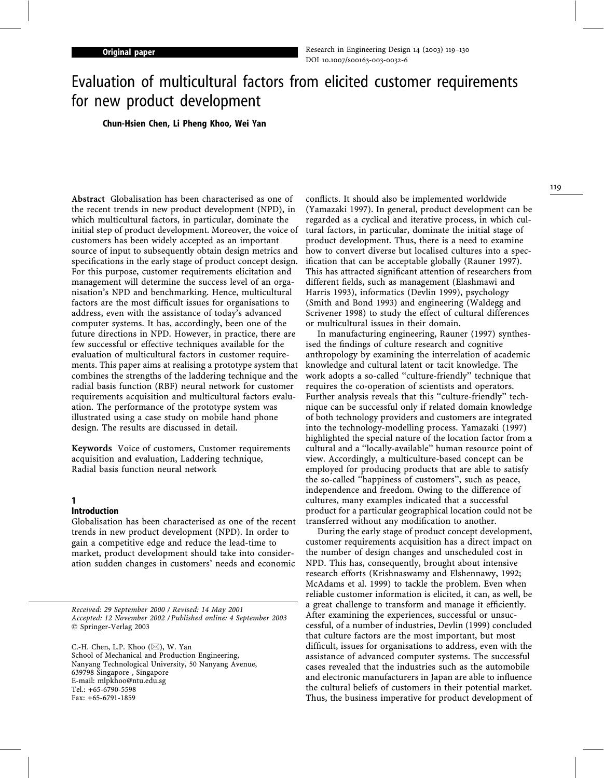# Evaluation of multicultural factors from elicited customer requirements for new product development

Chun-Hsien Chen, Li Pheng Khoo, Wei Yan

Abstract Globalisation has been characterised as one of the recent trends in new product development (NPD), in which multicultural factors, in particular, dominate the initial step of product development. Moreover, the voice of customers has been widely accepted as an important source of input to subsequently obtain design metrics and specifications in the early stage of product concept design. For this purpose, customer requirements elicitation and management will determine the success level of an organisation's NPD and benchmarking. Hence, multicultural factors are the most difficult issues for organisations to address, even with the assistance of today's advanced computer systems. It has, accordingly, been one of the future directions in NPD. However, in practice, there are few successful or effective techniques available for the evaluation of multicultural factors in customer requirements. This paper aims at realising a prototype system that combines the strengths of the laddering technique and the radial basis function (RBF) neural network for customer requirements acquisition and multicultural factors evaluation. The performance of the prototype system was illustrated using a case study on mobile hand phone design. The results are discussed in detail.

Keywords Voice of customers, Customer requirements acquisition and evaluation, Laddering technique, Radial basis function neural network

# 1

### Introduction

Globalisation has been characterised as one of the recent trends in new product development (NPD). In order to gain a competitive edge and reduce the lead-time to market, product development should take into consideration sudden changes in customers' needs and economic

Received: 29 September 2000 / Revised: 14 May 2001 Accepted: 12 November 2002 / Published online: 4 September 2003 Springer-Verlag 2003

C.-H. Chen, L.P. Khoo  $(\boxtimes)$ , W. Yan School of Mechanical and Production Engineering, Nanyang Technological University, 50 Nanyang Avenue, 639798 Singapore , Singapore E-mail: mlpkhoo@ntu.edu.sg Tel.: +65-6790-5598 Fax: +65-6791-1859

conflicts. It should also be implemented worldwide (Yamazaki 1997). In general, product development can be regarded as a cyclical and iterative process, in which cultural factors, in particular, dominate the initial stage of product development. Thus, there is a need to examine how to convert diverse but localised cultures into a specification that can be acceptable globally (Rauner 1997). This has attracted significant attention of researchers from different fields, such as management (Elashmawi and Harris 1993), informatics (Devlin 1999), psychology (Smith and Bond 1993) and engineering (Waldegg and Scrivener 1998) to study the effect of cultural differences or multicultural issues in their domain.

In manufacturing engineering, Rauner (1997) synthesised the findings of culture research and cognitive anthropology by examining the interrelation of academic knowledge and cultural latent or tacit knowledge. The work adopts a so-called ''culture-friendly'' technique that requires the co-operation of scientists and operators. Further analysis reveals that this "culture-friendly" technique can be successful only if related domain knowledge of both technology providers and customers are integrated into the technology-modelling process. Yamazaki (1997) highlighted the special nature of the location factor from a cultural and a ''locally-available'' human resource point of view. Accordingly, a multiculture-based concept can be employed for producing products that are able to satisfy the so-called ''happiness of customers'', such as peace, independence and freedom. Owing to the difference of cultures, many examples indicated that a successful product for a particular geographical location could not be transferred without any modification to another.

During the early stage of product concept development, customer requirements acquisition has a direct impact on the number of design changes and unscheduled cost in NPD. This has, consequently, brought about intensive research efforts (Krishnaswamy and Elshennawy, 1992; McAdams et al. 1999) to tackle the problem. Even when reliable customer information is elicited, it can, as well, be a great challenge to transform and manage it efficiently. After examining the experiences, successful or unsuccessful, of a number of industries, Devlin (1999) concluded that culture factors are the most important, but most difficult, issues for organisations to address, even with the assistance of advanced computer systems. The successful cases revealed that the industries such as the automobile and electronic manufacturers in Japan are able to influence the cultural beliefs of customers in their potential market. Thus, the business imperative for product development of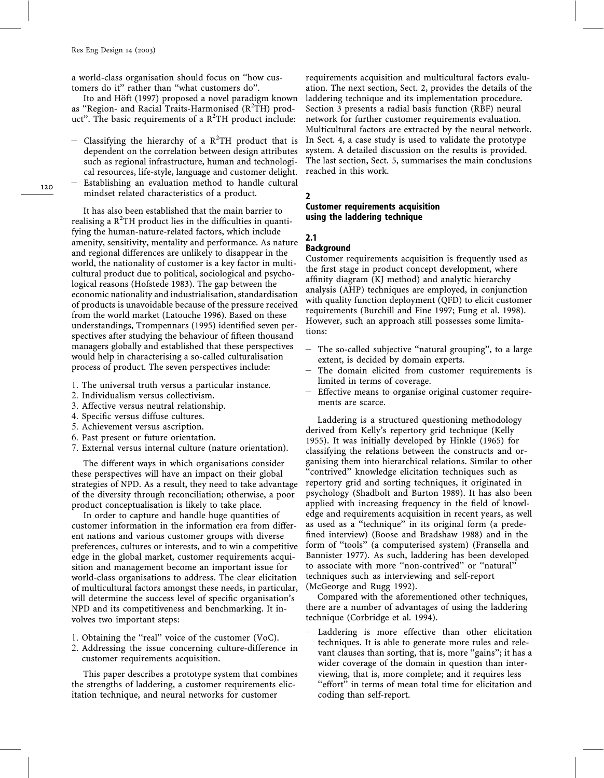a world-class organisation should focus on ''how customers do it'' rather than ''what customers do''.

Ito and Höft (1997) proposed a novel paradigm known as "Region- and Racial Traits-Harmonised (R<sup>2</sup>TH) product". The basic requirements of a  $R^2TH$  product include:

- Classifying the hierarchy of a  $R^2TH$  product that is dependent on the correlation between design attributes such as regional infrastructure, human and technological resources, life-style, language and customer delight. – Establishing an evaluation method to handle cultural

mindset related characteristics of a product.

It has also been established that the main barrier to realising a  $\mathbb{R}^2$ TH product lies in the difficulties in quantifying the human-nature-related factors, which include amenity, sensitivity, mentality and performance. As nature and regional differences are unlikely to disappear in the world, the nationality of customer is a key factor in multicultural product due to political, sociological and psychological reasons (Hofstede 1983). The gap between the economic nationality and industrialisation, standardisation of products is unavoidable because of the pressure received from the world market (Latouche 1996). Based on these understandings, Trompennars (1995) identified seven perspectives after studying the behaviour of fifteen thousand managers globally and established that these perspectives would help in characterising a so-called culturalisation process of product. The seven perspectives include:

- 1. The universal truth versus a particular instance.
- 2. Individualism versus collectivism.
- 3. Affective versus neutral relationship.
- 4. Specific versus diffuse cultures.
- 5. Achievement versus ascription.
- 6. Past present or future orientation.
- 7. External versus internal culture (nature orientation).

The different ways in which organisations consider these perspectives will have an impact on their global strategies of NPD. As a result, they need to take advantage of the diversity through reconciliation; otherwise, a poor product conceptualisation is likely to take place.

In order to capture and handle huge quantities of customer information in the information era from different nations and various customer groups with diverse preferences, cultures or interests, and to win a competitive edge in the global market, customer requirements acquisition and management become an important issue for world-class organisations to address. The clear elicitation of multicultural factors amongst these needs, in particular, will determine the success level of specific organisation's NPD and its competitiveness and benchmarking. It involves two important steps:

- 1. Obtaining the ''real'' voice of the customer (VoC).
- 2. Addressing the issue concerning culture-difference in customer requirements acquisition.

This paper describes a prototype system that combines the strengths of laddering, a customer requirements elicitation technique, and neural networks for customer

requirements acquisition and multicultural factors evaluation. The next section, Sect. 2, provides the details of the laddering technique and its implementation procedure. Section 3 presents a radial basis function (RBF) neural network for further customer requirements evaluation. Multicultural factors are extracted by the neural network. In Sect. 4, a case study is used to validate the prototype system. A detailed discussion on the results is provided. The last section, Sect. 5, summarises the main conclusions reached in this work.

#### 2

#### Customer requirements acquisition using the laddering technique

#### 2.1

#### Background

Customer requirements acquisition is frequently used as the first stage in product concept development, where affinity diagram (KJ method) and analytic hierarchy analysis (AHP) techniques are employed, in conjunction with quality function deployment (QFD) to elicit customer requirements (Burchill and Fine 1997; Fung et al. 1998). However, such an approach still possesses some limitations:

- The so-called subjective ''natural grouping'', to a large extent, is decided by domain experts.
- The domain elicited from customer requirements is limited in terms of coverage.
- Effective means to organise original customer requirements are scarce.

Laddering is a structured questioning methodology derived from Kelly's repertory grid technique (Kelly 1955). It was initially developed by Hinkle (1965) for classifying the relations between the constructs and organising them into hierarchical relations. Similar to other ''contrived'' knowledge elicitation techniques such as repertory grid and sorting techniques, it originated in psychology (Shadbolt and Burton 1989). It has also been applied with increasing frequency in the field of knowledge and requirements acquisition in recent years, as well as used as a ''technique'' in its original form (a predefined interview) (Boose and Bradshaw 1988) and in the form of ''tools'' (a computerised system) (Fransella and Bannister 1977). As such, laddering has been developed to associate with more ''non-contrived'' or ''natural'' techniques such as interviewing and self-report (McGeorge and Rugg 1992).

Compared with the aforementioned other techniques, there are a number of advantages of using the laddering technique (Corbridge et al. 1994).

– Laddering is more effective than other elicitation techniques. It is able to generate more rules and relevant clauses than sorting, that is, more "gains"; it has a wider coverage of the domain in question than interviewing, that is, more complete; and it requires less "effort" in terms of mean total time for elicitation and coding than self-report.

120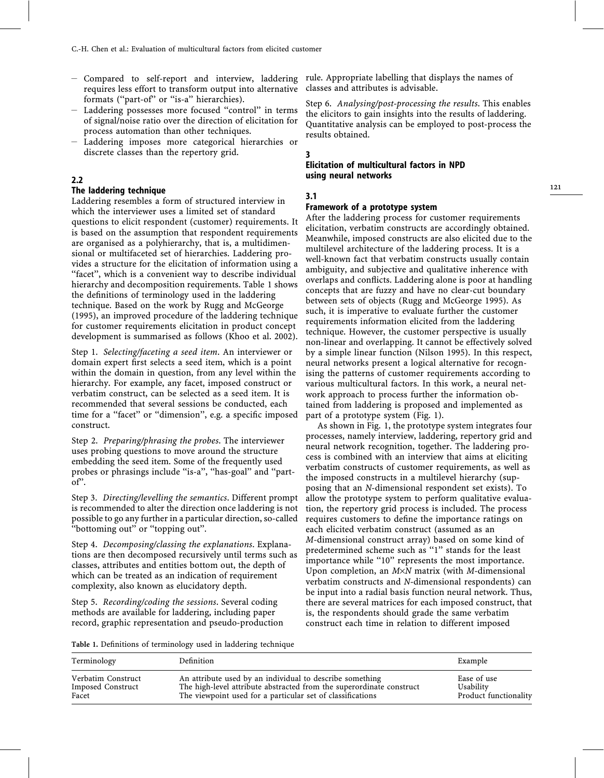- requires less effort to transform output into alternative formats ("part-of" or "is-a" hierarchies).
- Laddering possesses more focused ''control'' in terms of signal/noise ratio over the direction of elicitation for process automation than other techniques.
- Laddering imposes more categorical hierarchies or discrete classes than the repertory grid.

#### 2.2

#### The laddering technique

Laddering resembles a form of structured interview in which the interviewer uses a limited set of standard questions to elicit respondent (customer) requirements. It is based on the assumption that respondent requirements are organised as a polyhierarchy, that is, a multidimensional or multifaceted set of hierarchies. Laddering provides a structure for the elicitation of information using a "facet", which is a convenient way to describe individual hierarchy and decomposition requirements. Table 1 shows the definitions of terminology used in the laddering technique. Based on the work by Rugg and McGeorge (1995), an improved procedure of the laddering technique for customer requirements elicitation in product concept development is summarised as follows (Khoo et al. 2002).

Step 1. Selecting/faceting a seed item. An interviewer or domain expert first selects a seed item, which is a point within the domain in question, from any level within the hierarchy. For example, any facet, imposed construct or verbatim construct, can be selected as a seed item. It is recommended that several sessions be conducted, each time for a ''facet'' or ''dimension'', e.g. a specific imposed construct.

Step 2. Preparing/phrasing the probes. The interviewer uses probing questions to move around the structure embedding the seed item. Some of the frequently used probes or phrasings include ''is-a'', ''has-goal'' and ''partof''.

Step 3. Directing/levelling the semantics. Different prompt is recommended to alter the direction once laddering is not possible to go any further in a particular direction, so-called "bottoming out" or "topping out".

Step 4. Decomposing/classing the explanations. Explanations are then decomposed recursively until terms such as classes, attributes and entities bottom out, the depth of which can be treated as an indication of requirement complexity, also known as elucidatory depth.

Step 5. Recording/coding the sessions. Several coding methods are available for laddering, including paper record, graphic representation and pseudo-production

– Compared to self-report and interview, laddering rule. Appropriate labelling that displays the names of classes and attributes is advisable.

> Step 6. Analysing/post-processing the results. This enables the elicitors to gain insights into the results of laddering. Quantitative analysis can be employed to post-process the results obtained.

#### 3

#### Elicitation of multicultural factors in NPD using neural networks

#### 3.1

#### Framework of a prototype system

After the laddering process for customer requirements elicitation, verbatim constructs are accordingly obtained. Meanwhile, imposed constructs are also elicited due to the multilevel architecture of the laddering process. It is a well-known fact that verbatim constructs usually contain ambiguity, and subjective and qualitative inherence with overlaps and conflicts. Laddering alone is poor at handling concepts that are fuzzy and have no clear-cut boundary between sets of objects (Rugg and McGeorge 1995). As such, it is imperative to evaluate further the customer requirements information elicited from the laddering technique. However, the customer perspective is usually non-linear and overlapping. It cannot be effectively solved by a simple linear function (Nilson 1995). In this respect, neural networks present a logical alternative for recognising the patterns of customer requirements according to various multicultural factors. In this work, a neural network approach to process further the information obtained from laddering is proposed and implemented as part of a prototype system (Fig. 1).

As shown in Fig. 1, the prototype system integrates four processes, namely interview, laddering, repertory grid and neural network recognition, together. The laddering process is combined with an interview that aims at eliciting verbatim constructs of customer requirements, as well as the imposed constructs in a multilevel hierarchy (supposing that an N-dimensional respondent set exists). To allow the prototype system to perform qualitative evaluation, the repertory grid process is included. The process requires customers to define the importance ratings on each elicited verbatim construct (assumed as an M-dimensional construct array) based on some kind of predetermined scheme such as "1" stands for the least importance while ''10'' represents the most importance. Upon completion, an  $M \times N$  matrix (with *M*-dimensional verbatim constructs and N-dimensional respondents) can be input into a radial basis function neural network. Thus, there are several matrices for each imposed construct, that is, the respondents should grade the same verbatim construct each time in relation to different imposed

Table 1. Definitions of terminology used in laddering technique

| Terminology        | Definition                                                           | Example               |  |  |
|--------------------|----------------------------------------------------------------------|-----------------------|--|--|
| Verbatim Construct | An attribute used by an individual to describe something             | Ease of use           |  |  |
| Imposed Construct  | The high-level attribute abstracted from the superordinate construct | Usability             |  |  |
| Facet              | The viewpoint used for a particular set of classifications           | Product functionality |  |  |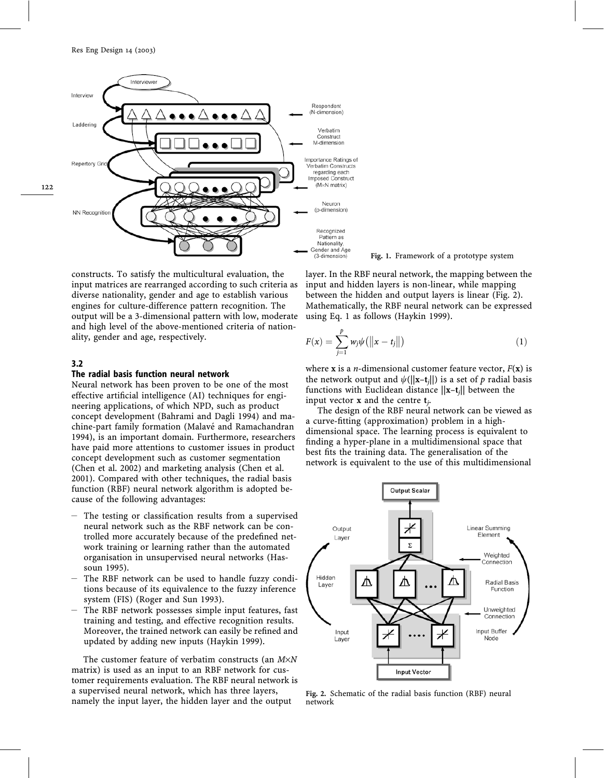

constructs. To satisfy the multicultural evaluation, the input matrices are rearranged according to such criteria as diverse nationality, gender and age to establish various engines for culture-difference pattern recognition. The output will be a 3-dimensional pattern with low, moderate and high level of the above-mentioned criteria of nationality, gender and age, respectively.

#### 3.2

#### The radial basis function neural network

Neural network has been proven to be one of the most effective artificial intelligence (AI) techniques for engineering applications, of which NPD, such as product concept development (Bahrami and Dagli 1994) and machine-part family formation (Malavé and Ramachandran 1994), is an important domain. Furthermore, researchers have paid more attentions to customer issues in product concept development such as customer segmentation (Chen et al. 2002) and marketing analysis (Chen et al. 2001). Compared with other techniques, the radial basis function (RBF) neural network algorithm is adopted because of the following advantages:

- The testing or classification results from a supervised neural network such as the RBF network can be controlled more accurately because of the predefined network training or learning rather than the automated organisation in unsupervised neural networks (Hassoun 1995).
- The RBF network can be used to handle fuzzy conditions because of its equivalence to the fuzzy inference system (FIS) (Roger and Sun 1993).
- The RBF network possesses simple input features, fast training and testing, and effective recognition results. Moreover, the trained network can easily be refined and updated by adding new inputs (Haykin 1999).

The customer feature of verbatim constructs (an  $M \times N$ matrix) is used as an input to an RBF network for customer requirements evaluation. The RBF neural network is a supervised neural network, which has three layers, namely the input layer, the hidden layer and the output

layer. In the RBF neural network, the mapping between the Fig. 1. Framework of a prototype system

input and hidden layers is non-linear, while mapping between the hidden and output layers is linear (Fig. 2). Mathematically, the RBF neural network can be expressed using Eq. 1 as follows (Haykin 1999).

$$
F(x) = \sum_{j=1}^{p} w_j \psi(||x - t_j||)
$$
 (1)

where **x** is a *n*-dimensional customer feature vector,  $F(\mathbf{x})$  is the network output and  $\psi(||\mathbf{x}-\mathbf{t}_i||)$  is a set of p radial basis functions with Euclidean distance  $||\mathbf{x}-\mathbf{t}_i||$  between the input vector **x** and the centre  $t_i$ .

The design of the RBF neural network can be viewed as a curve-fitting (approximation) problem in a highdimensional space. The learning process is equivalent to finding a hyper-plane in a multidimensional space that best fits the training data. The generalisation of the network is equivalent to the use of this multidimensional



Fig. 2. Schematic of the radial basis function (RBF) neural network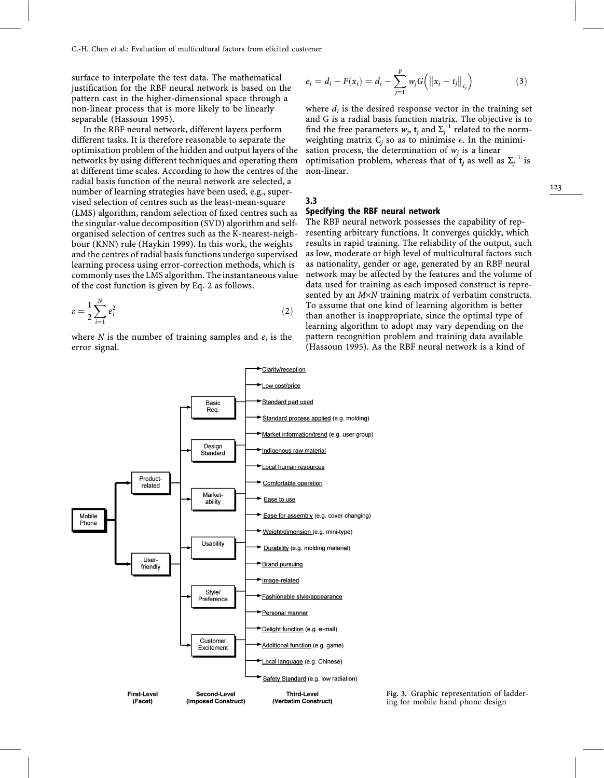surface to interpolate the test data. The mathematical justification for the RBF neural network is based on the pattern cast in the higher-dimensional space through a non-linear process that is more likely to be linearly separable (Hassoun 1995).

In the RBF neural network, different layers perform different tasks. It is therefore reasonable to separate the optimisation problem of the hidden and output layers of the networks by using different techniques and operating them at different time scales. According to how the centres of the radial basis function of the neural network are selected, a number of learning strategies have been used, e.g., supervised selection of centres such as the least-mean-square (LMS) algorithm, random selection of fixed centres such as the singular-value decomposition (SVD) algorithm and selforganised selection of centres such as the K-nearest-neighbour (KNN) rule (Haykin 1999). In this work, the weights and the centres of radial basis functions undergo supervised learning process using error-correction methods, which is commonly uses the LMS algorithm. The instantaneous value of the cost function is given by Eq. 2 as follows.

$$
\varepsilon = \frac{1}{2} \sum_{i=1}^{N} e_i^2 \tag{2}
$$

where N is the number of training samples and  $e_i$  is the error signal.

$$
e_i = d_i - F(x_i) = d_i - \sum_{j=1}^{p} w_j G(|x_i - t_j||_{c_j})
$$
\n(3)

where  $d_i$  is the desired response vector in the training set and G is a radial basis function matrix. The objective is to find the free parameters  $w_j$ ,  $\mathbf{t}_j$  and  $\Sigma_j^{-1}$  related to the normweighting matrix  $C_i$  so as to minimise  $\epsilon$ . In the minimisation process, the determination of  $w_i$  is a linear optimisation problem, whereas that of  $t_j$  as well as  $\Sigma_j^{-1}$  is non-linear.

#### 3.3 Specifying the RBF neural network

The RBF neural network possesses the capability of representing arbitrary functions. It converges quickly, which results in rapid training. The reliability of the output, such as low, moderate or high level of multicultural factors such as nationality, gender or age, generated by an RBF neural network may be affected by the features and the volume of data used for training as each imposed construct is represented by an  $M \times N$  training matrix of verbatim constructs. To assume that one kind of learning algorithm is better than another is inappropriate, since the optimal type of learning algorithm to adopt may vary depending on the pattern recognition problem and training data available (Hassoun 1995). As the RBF neural network is a kind of



Fig. 3. Graphic representation of laddering for mobile hand phone design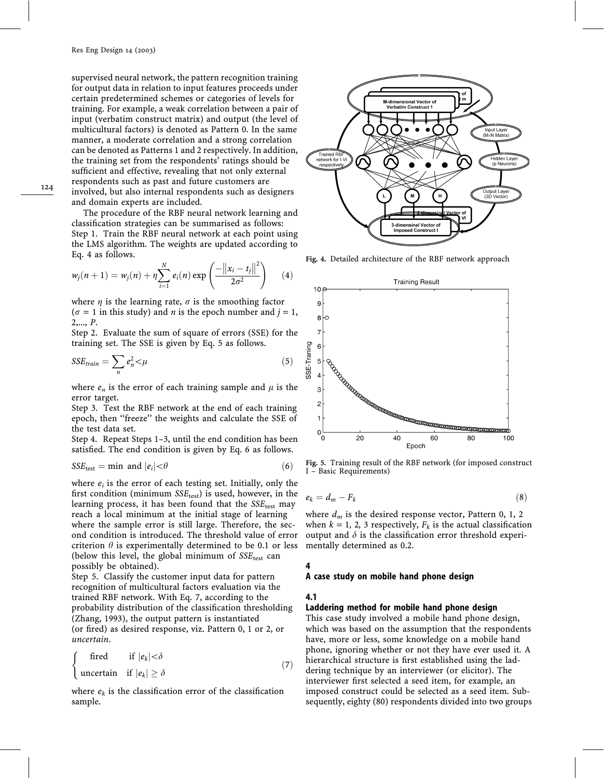supervised neural network, the pattern recognition training for output data in relation to input features proceeds under certain predetermined schemes or categories of levels for training. For example, a weak correlation between a pair of input (verbatim construct matrix) and output (the level of multicultural factors) is denoted as Pattern 0. In the same manner, a moderate correlation and a strong correlation can be denoted as Patterns 1 and 2 respectively. In addition, the training set from the respondents' ratings should be sufficient and effective, revealing that not only external respondents such as past and future customers are involved, but also internal respondents such as designers and domain experts are included.

The procedure of the RBF neural network learning and classification strategies can be summarised as follows: Step 1. Train the RBF neural network at each point using the LMS algorithm. The weights are updated according to Eq. 4 as follows.

$$
w_j(n+1) = w_j(n) + \eta \sum_{i=1}^{N} e_i(n) \exp \left( \frac{-\left\| x_i - t_j \right\|^2}{2\sigma^2} \right) \qquad (4)
$$

where  $\eta$  is the learning rate,  $\sigma$  is the smoothing factor  $(\sigma = 1$  in this study) and *n* is the epoch number and  $j = 1$ , 2,..., P.

Step 2. Evaluate the sum of square of errors (SSE) for the training set. The SSE is given by Eq. 5 as follows.

$$
SSE_{train} = \sum_{n} e_n^2 < \mu
$$
\n(5)

where  $e_n$  is the error of each training sample and  $\mu$  is the error target.

Step 3. Test the RBF network at the end of each training epoch, then ''freeze'' the weights and calculate the SSE of the test data set.

Step 4. Repeat Steps 1–3, until the end condition has been satisfied. The end condition is given by Eq. 6 as follows.

$$
SSE_{\text{test}} = \text{min} \text{ and } |e_i| < \theta \tag{6}
$$

where  $e_i$  is the error of each testing set. Initially, only the first condition (minimum  $SSE_{test}$ ) is used, however, in the learning process, it has been found that the  $SSE_{test}$  may reach a local minimum at the initial stage of learning where the sample error is still large. Therefore, the second condition is introduced. The threshold value of error criterion  $\theta$  is experimentally determined to be 0.1 or less (below this level, the global minimum of  $SSE_{test}$  can possibly be obtained).

Step 5. Classify the customer input data for pattern recognition of multicultural factors evaluation via the trained RBF network. With Eq. 7, according to the probability distribution of the classification thresholding (Zhang, 1993), the output pattern is instantiated (or fired) as desired response, viz. Pattern 0, 1 or 2, or uncertain.

$$
\begin{cases}\n\text{ fired} & \text{if } |e_k| < \delta \\
\text{uncertain} & \text{if } |e_k| \ge \delta\n\end{cases}
$$
\n(7)

where  $e_k$  is the classification error of the classification sample.



Fig. 4. Detailed architecture of the RBF network approach



I – Basic Requirements)

$$
e_k = d_m - F_k \tag{8}
$$

where  $d_m$  is the desired response vector, Pattern 0, 1, 2 when  $k = 1, 2, 3$  respectively,  $F_k$  is the actual classification output and  $\delta$  is the classification error threshold experimentally determined as 0.2.

#### 4

#### A case study on mobile hand phone design

#### 4.1

#### Laddering method for mobile hand phone design

This case study involved a mobile hand phone design, which was based on the assumption that the respondents have, more or less, some knowledge on a mobile hand phone, ignoring whether or not they have ever used it. A hierarchical structure is first established using the laddering technique by an interviewer (or elicitor). The interviewer first selected a seed item, for example, an imposed construct could be selected as a seed item. Subsequently, eighty (80) respondents divided into two groups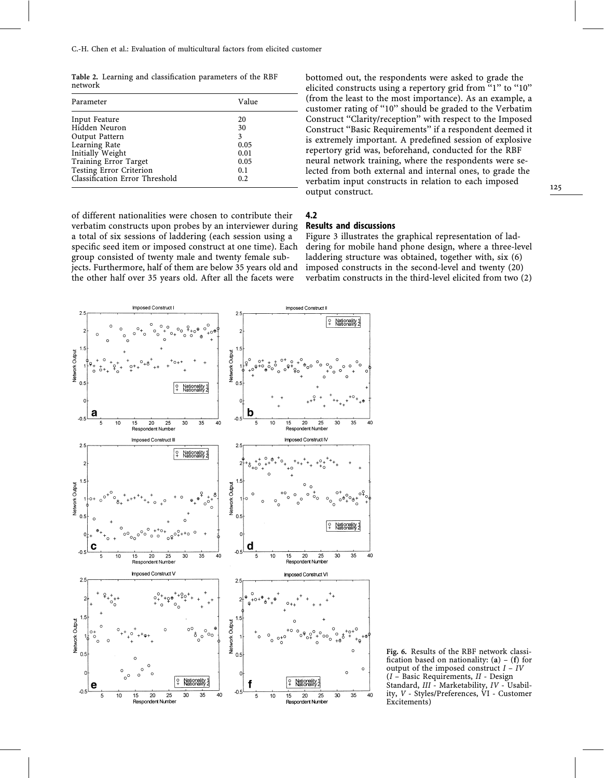Table 2. Learning and classification parameters of the RBF network

| Parameter                      | Value |
|--------------------------------|-------|
| Input Feature                  | 20    |
| Hidden Neuron                  | 30    |
| Output Pattern                 | 3     |
| Learning Rate                  | 0.05  |
| Initially Weight               | 0.01  |
| Training Error Target          | 0.05  |
| Testing Error Criterion        | 0.1   |
| Classification Error Threshold | 0.2   |

of different nationalities were chosen to contribute their verbatim constructs upon probes by an interviewer during a total of six sessions of laddering (each session using a specific seed item or imposed construct at one time). Each group consisted of twenty male and twenty female subjects. Furthermore, half of them are below 35 years old and the other half over 35 years old. After all the facets were

bottomed out, the respondents were asked to grade the elicited constructs using a repertory grid from "1" to "10" (from the least to the most importance). As an example, a customer rating of ''10'' should be graded to the Verbatim Construct ''Clarity/reception'' with respect to the Imposed Construct ''Basic Requirements'' if a respondent deemed it is extremely important. A predefined session of explosive repertory grid was, beforehand, conducted for the RBF neural network training, where the respondents were selected from both external and internal ones, to grade the verbatim input constructs in relation to each imposed output construct.

## 4.2

#### Results and discussions

Figure 3 illustrates the graphical representation of laddering for mobile hand phone design, where a three-level laddering structure was obtained, together with, six (6) imposed constructs in the second-level and twenty (20) verbatim constructs in the third-level elicited from two (2)



Fig. 6. Results of the RBF network classification based on nationality:  $(a) - (f)$  for output of the imposed construct  $I - IV$  $(I - Basic Requirements, II - Design$ Standard, III - Marketability, IV - Usability, V - Styles/Preferences, VI - Customer Excitements)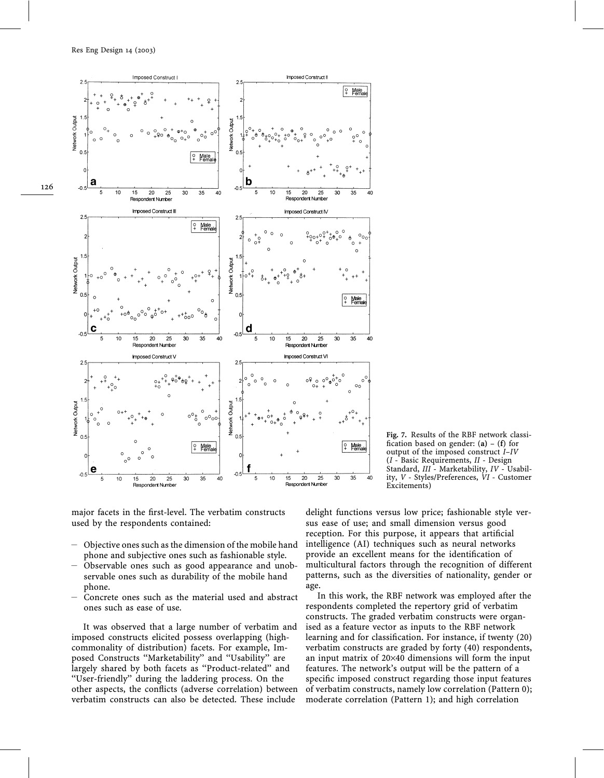

Fig. 7. Results of the RBF network classification based on gender:  $(a) - (f)$  for output of the imposed construct I–IV (I - Basic Requirements, II - Design Standard, III - Marketability, IV - Usability, V - Styles/Preferences, VI - Customer Excitements)

major facets in the first-level. The verbatim constructs used by the respondents contained:

- Objective ones such as the dimension of the mobile hand phone and subjective ones such as fashionable style.
- Observable ones such as good appearance and unobservable ones such as durability of the mobile hand phone.
- Concrete ones such as the material used and abstract ones such as ease of use.

It was observed that a large number of verbatim and imposed constructs elicited possess overlapping (highcommonality of distribution) facets. For example, Imposed Constructs ''Marketability'' and ''Usability'' are largely shared by both facets as ''Product-related'' and ''User-friendly'' during the laddering process. On the other aspects, the conflicts (adverse correlation) between verbatim constructs can also be detected. These include

delight functions versus low price; fashionable style versus ease of use; and small dimension versus good reception. For this purpose, it appears that artificial intelligence (AI) techniques such as neural networks provide an excellent means for the identification of multicultural factors through the recognition of different patterns, such as the diversities of nationality, gender or age.

In this work, the RBF network was employed after the respondents completed the repertory grid of verbatim constructs. The graded verbatim constructs were organised as a feature vector as inputs to the RBF network learning and for classification. For instance, if twenty (20) verbatim constructs are graded by forty (40) respondents, an input matrix of 20×40 dimensions will form the input features. The network's output will be the pattern of a specific imposed construct regarding those input features of verbatim constructs, namely low correlation (Pattern 0); moderate correlation (Pattern 1); and high correlation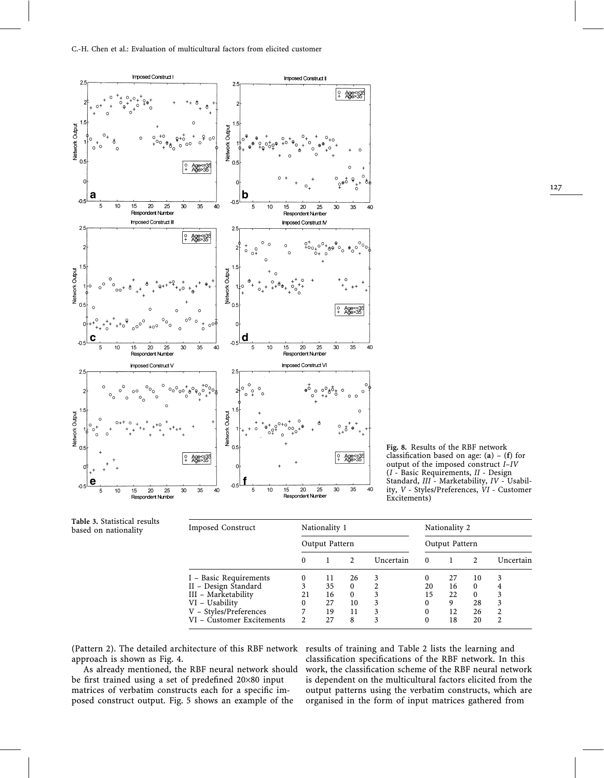

Fig. 8. Results of the RBF network classification based on age:  $(a) - (f)$  for output of the imposed construct I–IV  $(I -$ Basic Requirements,  $II -$ Design Standard, III - Marketability, IV - Usability, V - Styles/Preferences, VI - Customer Excitements)

| Imposed Construct         |                | Nationality 1 |                |           | Nationality 2  |    |               |           |  |
|---------------------------|----------------|---------------|----------------|-----------|----------------|----|---------------|-----------|--|
|                           | Output Pattern |               |                |           | Output Pattern |    |               |           |  |
|                           | 0              |               | $\mathfrak{D}$ | Uncertain | $\Omega$       |    | $\mathcal{D}$ | Uncertain |  |
| I - Basic Requirements    | 0              | 11            | 26             |           | 0              | 27 | 10            | 3         |  |
| II - Design Standard      | 3              | 35            | $\theta$       |           | 20             | 16 | $\Omega$      |           |  |
| III - Marketability       | 21             | 16            | $\theta$       |           | 15             | 22 | 0             |           |  |
| VI - Usability            | 0              | 27            | 10             |           | 0              | 9  | 28            |           |  |
| V - Styles/Preferences    | 7              | 19            | 11             |           | $\theta$       | 12 | 26            |           |  |
| VI – Customer Excitements | 2              | 2.7           | 8              | 3         | 0              | 18 | 20            | ጎ         |  |

(Pattern 2). The detailed architecture of this RBF network results of training and Table 2 lists the learning and approach is shown as Fig. 4.

Table 3. Statistical results based on nationality

As already mentioned, the RBF neural network should be first trained using a set of predefined 20×80 input matrices of verbatim constructs each for a specific imposed construct output. Fig. 5 shows an example of the

classification specifications of the RBF network. In this work, the classification scheme of the RBF neural network is dependent on the multicultural factors elicited from the output patterns using the verbatim constructs, which are organised in the form of input matrices gathered from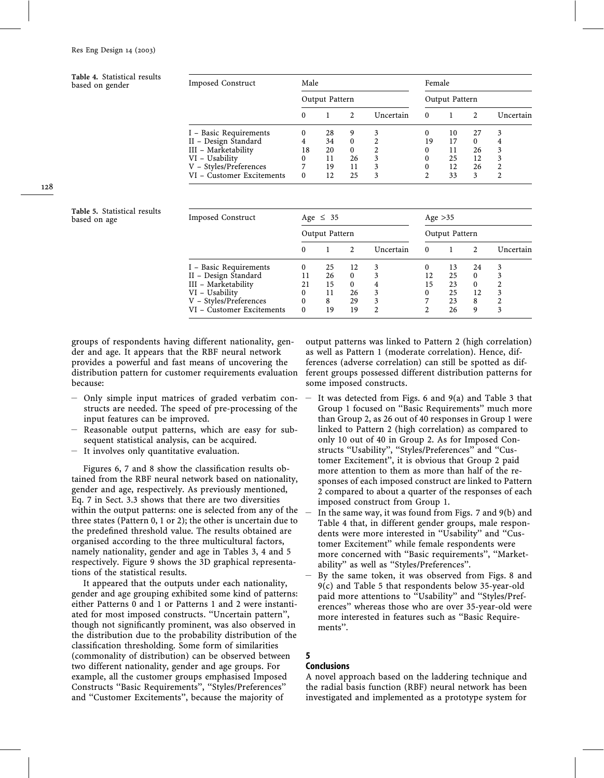Table 4. Statistical results based on gender

| <b>Imposed Construct</b>  | Male     |                |                     |                | Female               |    |                      |           |  |  |
|---------------------------|----------|----------------|---------------------|----------------|----------------------|----|----------------------|-----------|--|--|
|                           |          | Output Pattern |                     |                | Output Pattern       |    |                      |           |  |  |
|                           |          | 28             | $\mathfrak{D}$<br>9 | Uncertain<br>3 | $\Omega$<br>$\Omega$ |    | $\mathfrak{D}$<br>27 | Uncertain |  |  |
| I - Basic Requirements    | 0        |                |                     |                |                      | 10 |                      | 3         |  |  |
| II - Design Standard      |          | 34             | $\Omega$            |                | 19                   | 17 | 0                    |           |  |  |
| III - Marketability       | 18       | 20             | $\Omega$            | 2              | 0                    | 11 | 26                   | 3         |  |  |
| VI - Usability            | $^{(1)}$ | 11             | 26                  | 3              | 0                    | 25 | 12                   |           |  |  |
| V - Styles/Preferences    |          | 19             | 11                  | 3              | 0                    | 12 | 26                   |           |  |  |
| VI - Customer Excitements | 0        | 12             | 25                  | 3              | C                    | 33 | 3                    | 2         |  |  |

128

Table 5. Statistical results

| Table 5. Statistical results<br>based on age | Imposed Construct         | Age $\leq 35$ |                |              |           | Age $>35$      |    |          |           |
|----------------------------------------------|---------------------------|---------------|----------------|--------------|-----------|----------------|----|----------|-----------|
|                                              |                           |               | Output Pattern |              |           | Output Pattern |    |          |           |
|                                              |                           | 0             |                |              | Uncertain | $\theta$       |    |          | Uncertain |
|                                              | I - Basic Requirements    | 0             | 25             | 12           | 3         |                | 13 | 24       |           |
|                                              | II - Design Standard      |               | 26             | $\Omega$     |           | 12             | 25 | $\Omega$ |           |
|                                              | III - Marketability       | 21            | 15             | $\mathbf{0}$ | 4         | 15             | 23 | $\Omega$ |           |
|                                              | VI - Usability            |               | 11             | 26           | 3         |                | 25 | 12       | ٩         |
|                                              | V - Styles/Preferences    | 0             | 8              | 29           | 3         |                | 23 | 8        |           |
|                                              | VI - Customer Excitements | $\Omega$      | 19             | 19           |           |                | 26 | 9        | 3         |
|                                              |                           |               |                |              |           |                |    |          |           |

groups of respondents having different nationality, gender and age. It appears that the RBF neural network provides a powerful and fast means of uncovering the distribution pattern for customer requirements evaluation because:

- Only simple input matrices of graded verbatim constructs are needed. The speed of pre-processing of the input features can be improved.
- Reasonable output patterns, which are easy for subsequent statistical analysis, can be acquired.
- It involves only quantitative evaluation.

Figures 6, 7 and 8 show the classification results obtained from the RBF neural network based on nationality, gender and age, respectively. As previously mentioned, Eq. 7 in Sect. 3.3 shows that there are two diversities within the output patterns: one is selected from any of the three states (Pattern 0, 1 or 2); the other is uncertain due to the predefined threshold value. The results obtained are organised according to the three multicultural factors, namely nationality, gender and age in Tables 3, 4 and 5 respectively. Figure 9 shows the 3D graphical representations of the statistical results.

It appeared that the outputs under each nationality, gender and age grouping exhibited some kind of patterns: either Patterns 0 and 1 or Patterns 1 and 2 were instantiated for most imposed constructs. ''Uncertain pattern'', though not significantly prominent, was also observed in the distribution due to the probability distribution of the classification thresholding. Some form of similarities (commonality of distribution) can be observed between two different nationality, gender and age groups. For example, all the customer groups emphasised Imposed Constructs ''Basic Requirements'', ''Styles/Preferences'' and ''Customer Excitements'', because the majority of

output patterns was linked to Pattern 2 (high correlation) as well as Pattern 1 (moderate correlation). Hence, differences (adverse correlation) can still be spotted as different groups possessed different distribution patterns for some imposed constructs.

- It was detected from Figs. 6 and  $9(a)$  and Table 3 that Group 1 focused on ''Basic Requirements'' much more than Group 2, as 26 out of 40 responses in Group 1 were linked to Pattern 2 (high correlation) as compared to only 10 out of 40 in Group 2. As for Imposed Constructs ''Usability'', ''Styles/Preferences'' and ''Customer Excitement'', it is obvious that Group 2 paid more attention to them as more than half of the responses of each imposed construct are linked to Pattern 2 compared to about a quarter of the responses of each imposed construct from Group 1.
- In the same way, it was found from Figs. 7 and 9(b) and Table 4 that, in different gender groups, male respondents were more interested in ''Usability'' and ''Customer Excitement'' while female respondents were more concerned with ''Basic requirements'', ''Marketability'' as well as ''Styles/Preferences''.
- By the same token, it was observed from Figs. 8 and 9(c) and Table 5 that respondents below 35-year-old paid more attentions to ''Usability'' and ''Styles/Preferences'' whereas those who are over 35-year-old were more interested in features such as ''Basic Requirements''.

# 5

## **Conclusions**

A novel approach based on the laddering technique and the radial basis function (RBF) neural network has been investigated and implemented as a prototype system for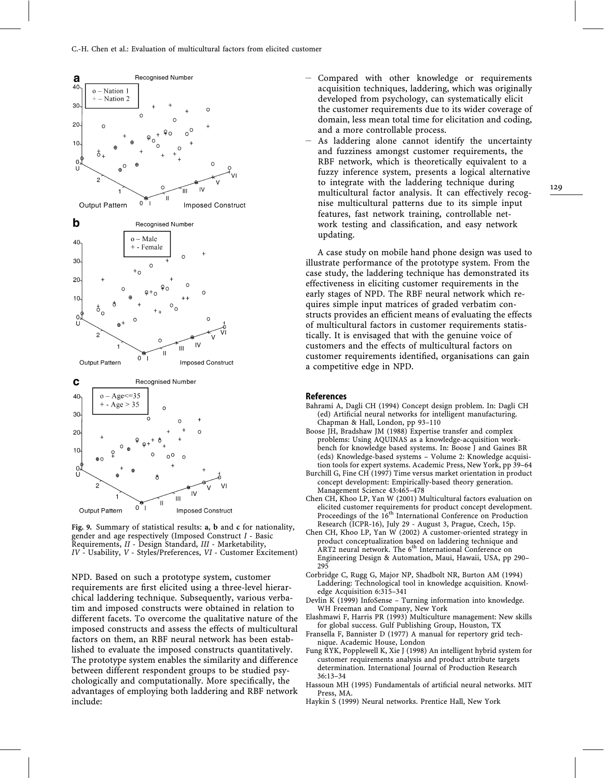

Fig. 9. Summary of statistical results: a, b and c for nationality, gender and age respectively (Imposed Construct I - Basic Requirements, II - Design Standard, III - Marketability, IV - Usability, V - Styles/Preferences, VI - Customer Excitement)

NPD. Based on such a prototype system, customer requirements are first elicited using a three-level hierarchical laddering technique. Subsequently, various verbatim and imposed constructs were obtained in relation to different facets. To overcome the qualitative nature of the imposed constructs and assess the effects of multicultural factors on them, an RBF neural network has been established to evaluate the imposed constructs quantitatively. The prototype system enables the similarity and difference between different respondent groups to be studied psychologically and computationally. More specifically, the advantages of employing both laddering and RBF network include:

- Compared with other knowledge or requirements acquisition techniques, laddering, which was originally developed from psychology, can systematically elicit the customer requirements due to its wider coverage of domain, less mean total time for elicitation and coding, and a more controllable process.
- As laddering alone cannot identify the uncertainty and fuzziness amongst customer requirements, the RBF network, which is theoretically equivalent to a fuzzy inference system, presents a logical alternative to integrate with the laddering technique during multicultural factor analysis. It can effectively recognise multicultural patterns due to its simple input features, fast network training, controllable network testing and classification, and easy network updating.

A case study on mobile hand phone design was used to illustrate performance of the prototype system. From the case study, the laddering technique has demonstrated its effectiveness in eliciting customer requirements in the early stages of NPD. The RBF neural network which requires simple input matrices of graded verbatim constructs provides an efficient means of evaluating the effects of multicultural factors in customer requirements statistically. It is envisaged that with the genuine voice of customers and the effects of multicultural factors on customer requirements identified, organisations can gain a competitive edge in NPD.

#### **References**

- Bahrami A, Dagli CH (1994) Concept design problem. In: Dagli CH (ed) Artificial neural networks for intelligent manufacturing. Chapman & Hall, London, pp 93–110
- Boose JH, Bradshaw JM (1988) Expertise transfer and complex problems: Using AQUINAS as a knowledge-acquisition workbench for knowledge based systems. In: Boose J and Gaines BR (eds) Knowledge-based systems – Volume 2: Knowledge acquisition tools for expert systems. Academic Press, New York, pp 39–64
- Burchill G, Fine CH (1997) Time versus market orientation in product concept development: Empirically-based theory generation. Management Science 43:465–478
- Chen CH, Khoo LP, Yan W (2001) Multicultural factors evaluation on elicited customer requirements for product concept development. Proceedings of the 16<sup>th</sup> International Conference on Production Research (ICPR-16), July 29 - August 3, Prague, Czech, 15p.
- Chen CH, Khoo LP, Yan W (2002) A customer-oriented strategy in product conceptualization based on laddering technique and ART2 neural network. The  $6<sup>th</sup>$  International Conference on Engineering Design & Automation, Maui, Hawaii, USA, pp 290– 295
- Corbridge C, Rugg G, Major NP, Shadbolt NR, Burton AM (1994) Laddering: Technological tool in knowledge acquisition. Knowledge Acquisition 6:315–341
- Devlin K (1999) InfoSense Turning information into knowledge. WH Freeman and Company, New York
- Elashmawi F, Harris PR (1993) Multiculture management: New skills for global success. Gulf Publishing Group, Houston, TX
- Fransella F, Bannister D (1977) A manual for repertory grid technique. Academic House, London
- Fung RYK, Popplewell K, Xie J (1998) An intelligent hybrid system for customer requirements analysis and product attribute targets determination. International Journal of Production Research 36:13–34
- Hassoun MH (1995) Fundamentals of artificial neural networks. MIT Press, MA.
- Haykin S (1999) Neural networks. Prentice Hall, New York